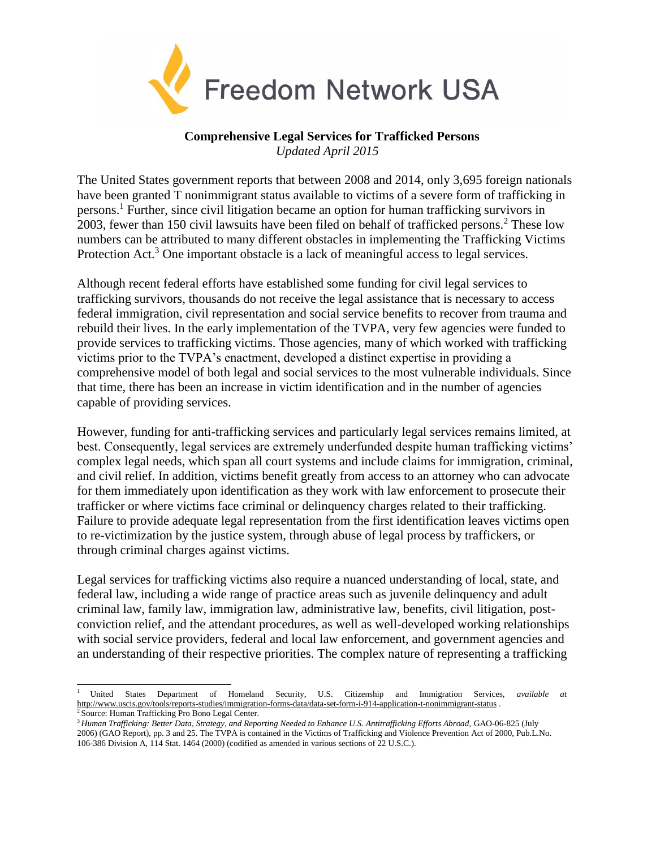

## **Comprehensive Legal Services for Trafficked Persons** *Updated April 2015*

The United States government reports that between 2008 and 2014, only 3,695 foreign nationals have been granted T nonimmigrant status available to victims of a severe form of trafficking in persons.<sup>1</sup> Further, since civil litigation became an option for human trafficking survivors in 2003, fewer than 150 civil lawsuits have been filed on behalf of trafficked persons.<sup>2</sup> These low numbers can be attributed to many different obstacles in implementing the Trafficking Victims Protection Act.<sup>3</sup> One important obstacle is a lack of meaningful access to legal services.

Although recent federal efforts have established some funding for civil legal services to trafficking survivors, thousands do not receive the legal assistance that is necessary to access federal immigration, civil representation and social service benefits to recover from trauma and rebuild their lives. In the early implementation of the TVPA, very few agencies were funded to provide services to trafficking victims. Those agencies, many of which worked with trafficking victims prior to the TVPA's enactment, developed a distinct expertise in providing a comprehensive model of both legal and social services to the most vulnerable individuals. Since that time, there has been an increase in victim identification and in the number of agencies capable of providing services.

However, funding for anti-trafficking services and particularly legal services remains limited, at best. Consequently, legal services are extremely underfunded despite human trafficking victims' complex legal needs, which span all court systems and include claims for immigration, criminal, and civil relief. In addition, victims benefit greatly from access to an attorney who can advocate for them immediately upon identification as they work with law enforcement to prosecute their trafficker or where victims face criminal or delinquency charges related to their trafficking. Failure to provide adequate legal representation from the first identification leaves victims open to re-victimization by the justice system, through abuse of legal process by traffickers, or through criminal charges against victims.

Legal services for trafficking victims also require a nuanced understanding of local, state, and federal law, including a wide range of practice areas such as juvenile delinquency and adult criminal law, family law, immigration law, administrative law, benefits, civil litigation, postconviction relief, and the attendant procedures, as well as well-developed working relationships with social service providers, federal and local law enforcement, and government agencies and an understanding of their respective priorities. The complex nature of representing a trafficking

<sup>1</sup>United States Department of Homeland Security, U.S. Citizenship and Immigration Services, *available at* <http://www.uscis.gov/tools/reports-studies/immigration-forms-data/data-set-form-i-914-application-t-nonimmigrant-status> .

Source: Human Trafficking Pro Bono Legal Center.

<sup>&</sup>lt;sup>3</sup> Human Trafficking: Better Data, Strategy, and Reporting Needed to Enhance U.S. Antitrafficking Efforts Abroad, GAO-06-825 (July 2006) (GAO Report), pp. 3 and 25. The TVPA is contained in the Victims of Trafficking and Violence Prevention Act of 2000, Pub.L.No. 106-386 Division A, 114 Stat. 1464 (2000) (codified as amended in various sections of 22 U.S.C.).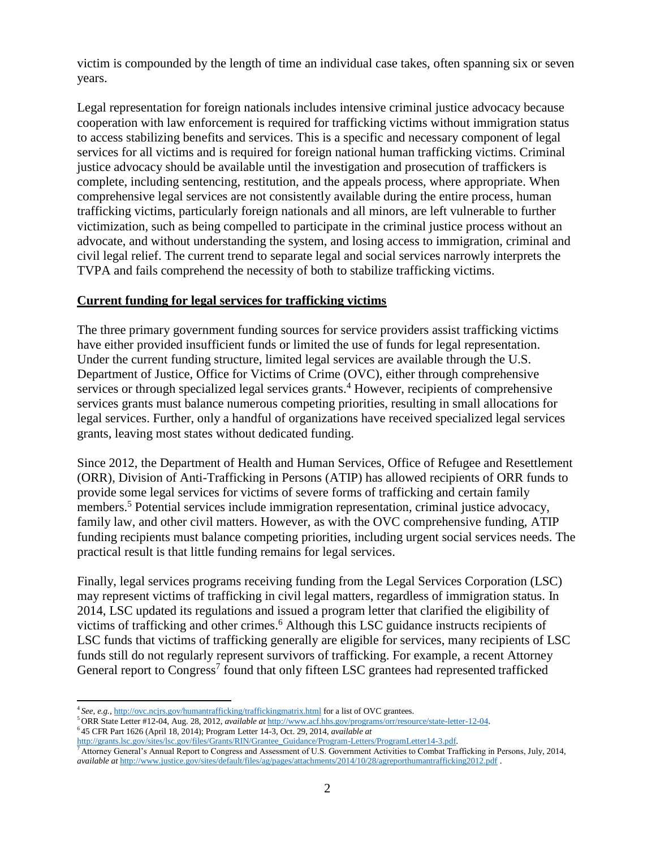victim is compounded by the length of time an individual case takes, often spanning six or seven years.

Legal representation for foreign nationals includes intensive criminal justice advocacy because cooperation with law enforcement is required for trafficking victims without immigration status to access stabilizing benefits and services. This is a specific and necessary component of legal services for all victims and is required for foreign national human trafficking victims. Criminal justice advocacy should be available until the investigation and prosecution of traffickers is complete, including sentencing, restitution, and the appeals process, where appropriate. When comprehensive legal services are not consistently available during the entire process, human trafficking victims, particularly foreign nationals and all minors, are left vulnerable to further victimization, such as being compelled to participate in the criminal justice process without an advocate, and without understanding the system, and losing access to immigration, criminal and civil legal relief. The current trend to separate legal and social services narrowly interprets the TVPA and fails comprehend the necessity of both to stabilize trafficking victims.

## **Current funding for legal services for trafficking victims**

The three primary government funding sources for service providers assist trafficking victims have either provided insufficient funds or limited the use of funds for legal representation. Under the current funding structure, limited legal services are available through the U.S. Department of Justice, Office for Victims of Crime (OVC), either through comprehensive services or through specialized legal services grants.<sup>4</sup> However, recipients of comprehensive services grants must balance numerous competing priorities, resulting in small allocations for legal services. Further, only a handful of organizations have received specialized legal services grants, leaving most states without dedicated funding.

Since 2012, the Department of Health and Human Services, Office of Refugee and Resettlement (ORR), Division of Anti-Trafficking in Persons (ATIP) has allowed recipients of ORR funds to provide some legal services for victims of severe forms of trafficking and certain family members.<sup>5</sup> Potential services include immigration representation, criminal justice advocacy, family law, and other civil matters. However, as with the OVC comprehensive funding, ATIP funding recipients must balance competing priorities, including urgent social services needs. The practical result is that little funding remains for legal services.

Finally, legal services programs receiving funding from the Legal Services Corporation (LSC) may represent victims of trafficking in civil legal matters, regardless of immigration status. In 2014, LSC updated its regulations and issued a program letter that clarified the eligibility of victims of trafficking and other crimes.<sup>6</sup> Although this LSC guidance instructs recipients of LSC funds that victims of trafficking generally are eligible for services, many recipients of LSC funds still do not regularly represent survivors of trafficking. For example, a recent Attorney General report to Congress<sup>7</sup> found that only fifteen LSC grantees had represented trafficked

<sup>4</sup>*See, e.g.,* <http://ovc.ncjrs.gov/humantrafficking/traffickingmatrix.html> for a list of OVC grantees.

<sup>5</sup>ORR State Letter #12-04, Aug. 28, 2012, *available at* [http://www.acf.hhs.gov/programs/orr/resource/state-letter-12-04.](http://www.acf.hhs.gov/programs/orr/resource/state-letter-12-04)

<sup>6</sup>45 CFR Part 1626 (April 18, 2014); Program Letter 14-3, Oct. 29, 2014, *available at* [http://grants.lsc.gov/sites/lsc.gov/files/Grants/RIN/Grantee\\_Guidance/Program-Letters/ProgramLetter14-3.pdf.](http://grants.lsc.gov/sites/lsc.gov/files/grants/rin/grantee_guidance/program-letters/programletter14-3.pdf)

<sup>7</sup>Attorney General's Annual Report to Congress and Assessment of U.S. Government Activities to Combat Trafficking in Persons, July, 2014, *available at <http://www.justice.gov/sites/default/files/ag/pages/attachments/2014/10/28/agreporthumantrafficking2012.pdf>*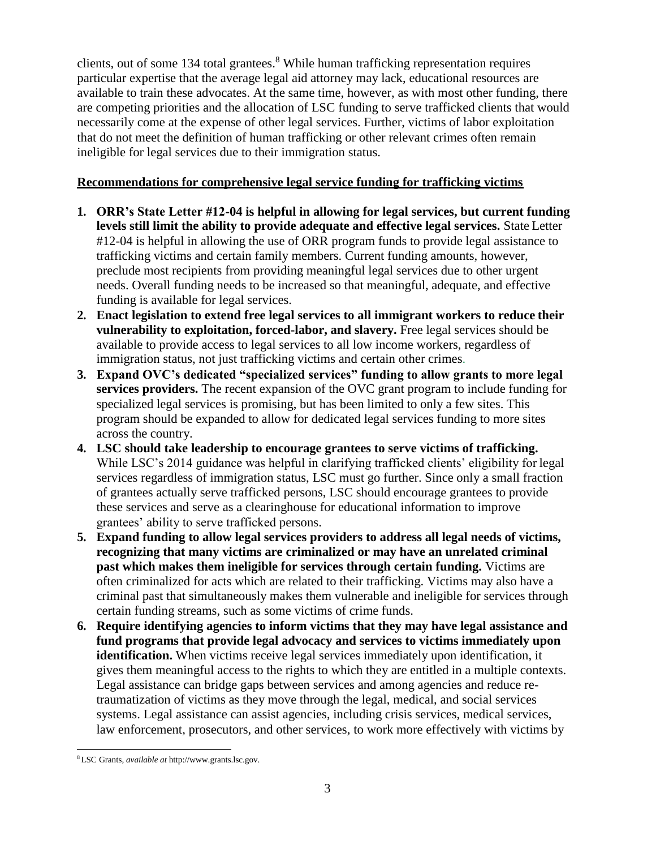clients, out of some 134 total grantees.<sup>8</sup> While human trafficking representation requires particular expertise that the average legal aid attorney may lack, educational resources are available to train these advocates. At the same time, however, as with most other funding, there are competing priorities and the allocation of LSC funding to serve trafficked clients that would necessarily come at the expense of other legal services. Further, victims of labor exploitation that do not meet the definition of human trafficking or other relevant crimes often remain ineligible for legal services due to their immigration status.

## **Recommendations for comprehensive legal service funding for trafficking victims**

- **1. ORR's State Letter #12-04 is helpful in allowing for legal services, but current funding levels still limit the ability to provide adequate and effective legal services.** State Letter #12-04 is helpful in allowing the use of ORR program funds to provide legal assistance to trafficking victims and certain family members. Current funding amounts, however, preclude most recipients from providing meaningful legal services due to other urgent needs. Overall funding needs to be increased so that meaningful, adequate, and effective funding is available for legal services.
- **2. Enact legislation to extend free legal services to all immigrant workers to reduce their vulnerability to exploitation, forced-labor, and slavery.** Free legal services should be available to provide access to legal services to all low income workers, regardless of immigration status, not just trafficking victims and certain other crimes.
- **3. Expand OVC's dedicated "specialized services" funding to allow grants to more legal services providers.** The recent expansion of the OVC grant program to include funding for specialized legal services is promising, but has been limited to only a few sites. This program should be expanded to allow for dedicated legal services funding to more sites across the country.
- **4. LSC should take leadership to encourage grantees to serve victims of trafficking.**  While LSC's 2014 guidance was helpful in clarifying trafficked clients' eligibility for legal services regardless of immigration status, LSC must go further. Since only a small fraction of grantees actually serve trafficked persons, LSC should encourage grantees to provide these services and serve as a clearinghouse for educational information to improve grantees' ability to serve trafficked persons.
- **5. Expand funding to allow legal services providers to address all legal needs of victims, recognizing that many victims are criminalized or may have an unrelated criminal past which makes them ineligible for services through certain funding.** Victims are often criminalized for acts which are related to their trafficking. Victims may also have a criminal past that simultaneously makes them vulnerable and ineligible for services through certain funding streams, such as some victims of crime funds.
- **6. Require identifying agencies to inform victims that they may have legal assistance and fund programs that provide legal advocacy and services to victims immediately upon identification.** When victims receive legal services immediately upon identification, it gives them meaningful access to the rights to which they are entitled in a multiple contexts. Legal assistance can bridge gaps between services and among agencies and reduce retraumatization of victims as they move through the legal, medical, and social services systems. Legal assistance can assist agencies, including crisis services, medical services, law enforcement, prosecutors, and other services, to work more effectively with victims by

<sup>8</sup>LSC Grants, *available at* [http://www.grants.lsc.gov.](http://www.grants.lsc.gov/)